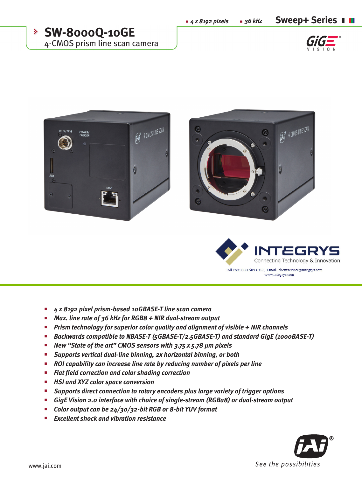**n**  $\frac{4}{3}$  *x* 8192 pixels **n** 36 kHz **Sweep+ Series n** 

**SW-8000Q-10GE** 4-CMOS prism line scan camera









- *4 x 8192 pixel prism-based 10GBASE-T line scan camera*  n
- *Max. line rate of 36 kHz for RGB8 + NIR dual-stream output* n
- *Prism technology for superior color quality and alignment of visible + NIR channels* n
- *Backwards compatible to NBASE-T (5GBASE-T/2.5GBASE-T) and standard GigE (1000BASE-T)* n
- *New "State of the art" CMOS sensors with 3.75 x 5.78 µm pixels* n
- *Supports vertical dual-line binning, 2x horizontal binning, or both* n
- *ROI capability can increase line rate by reducing number of pixels per line*  n
- *Flat field correction and color shading correction* n
- *HSI and XYZ color space conversion* n
- *Supports direct connection to rotary encoders plus large variety of trigger options* n
- *GigE Vision 2.0 interface with choice of single-stream (RGBa8) or dual-stream output* n
- *Color output can be 24/30/32-bit RGB or 8-bit YUV format* n
- *Excellent shock and vibration resistance* n